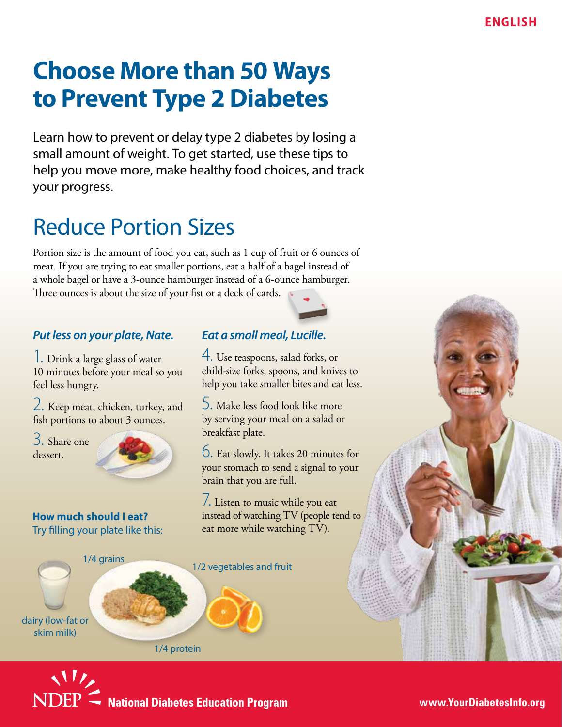# **Choose More than 50 Ways to Prevent Type 2 Diabetes**

Learn how to prevent or delay type 2 diabetes by losing a small amount of weight. To get started, use these tips to help you move more, make healthy food choices, and track your progress.

## Reduce Portion Sizes

Portion size is the amount of food you eat, such as 1 cup of fruit or 6 ounces of meat. If you are trying to eat smaller portions, eat a half of a bagel instead of a whole bagel or have a 3-ounce hamburger instead of a 6-ounce hamburger. Three ounces is about the size of your fist or a deck of cards.

#### *Put less on your plate, Nate.*

1. Drink a large glass of water 10 minutes before your meal so you feel less hungry.

2. Keep meat, chicken, turkey, and fish portions to about 3 ounces.

3. Share one dessert.



**How much should I eat?** Try filling your plate like this:

#### *Eat a small meal, Lucille.*

4. Use teaspoons, salad forks, or child-size forks, spoons, and knives to help you take smaller bites and eat less.

5. Make less food look like more by serving your meal on a salad or breakfast plate.

6. Eat slowly. It takes 20 minutes for your stomach to send a signal to your brain that you are full.

7. Listen to music while you eat instead of watching TV (people tend to eat more while watching TV).

1/4 grains 1/2 vegetables and fruit dairy (low-fat or skim milk)

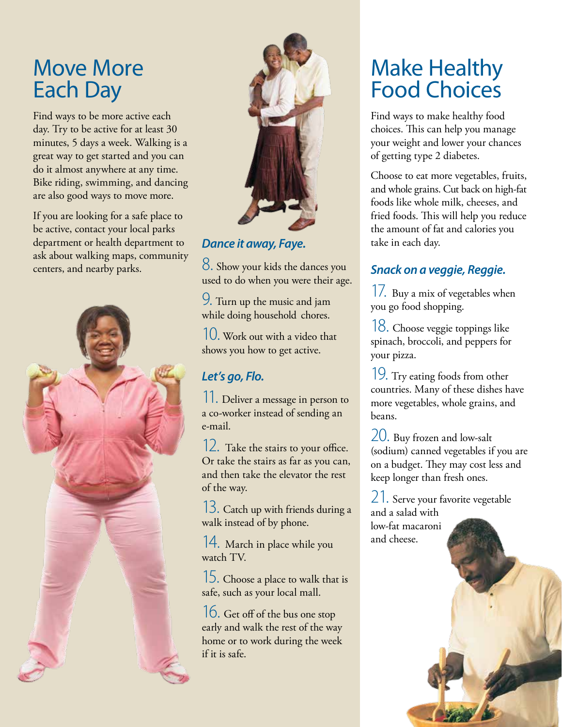### Move More Each Day

Find ways to be more active each day. Try to be active for at least 30 minutes, 5 days a week. Walking is a great way to get started and you can do it almost anywhere at any time. Bike riding, swimming, and dancing are also good ways to move more.

If you are looking for a safe place to be active, contact your local parks department or health department to ask about walking maps, community centers, and nearby parks.





#### *Dance it away, Faye.*

8. Show your kids the dances you used to do when you were their age.

Turn up the music and jam 9. while doing household chores.

10. Work out with a video that shows you how to get active.

#### *Let's go, Flo.*

11. Deliver a message in person to a co-worker instead of sending an e-mail.

12. Take the stairs to your office. Or take the stairs as far as you can, and then take the elevator the rest of the way.

13. Catch up with friends during a walk instead of by phone.

14. March in place while you watch TV.

15. Choose a place to walk that is safe, such as your local mall.

16. Get off of the bus one stop early and walk the rest of the way home or to work during the week if it is safe.

## Make Healthy Food Choices

Find ways to make healthy food choices. This can help you manage your weight and lower your chances of getting type 2 diabetes.

Choose to eat more vegetables, fruits, and whole grains. Cut back on high-fat foods like whole milk, cheeses, and fried foods. This will help you reduce the amount of fat and calories you take in each day.

#### *Snack on a veggie, Reggie.*

17. Buy a mix of vegetables when you go food shopping.

18. Choose veggie toppings like spinach, broccoli, and peppers for your pizza.

19. Try eating foods from other countries. Many of these dishes have more vegetables, whole grains, and beans.

20. Buy frozen and low-salt (sodium) canned vegetables if you are on a budget. They may cost less and keep longer than fresh ones.

21. Serve your favorite vegetable and a salad with low-fat macaroni and cheese.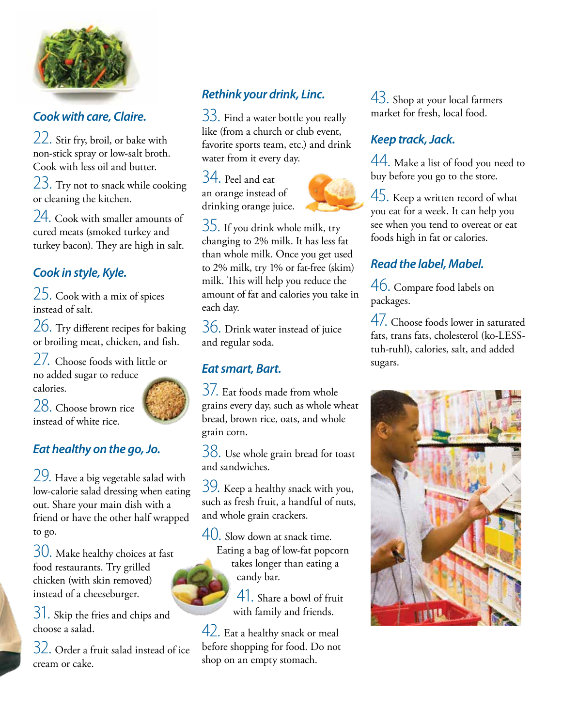

#### *Cook with care, Claire.*

22. Stir fry, broil, or bake with non-stick spray or low-salt broth. Cook with less oil and butter.

23. Try not to snack while cooking or cleaning the kitchen.

24. Cook with smaller amounts of cured meats (smoked turkey and turkey bacon). They are high in salt.

### *Cook in style, Kyle.*

25. Cook with a mix of spices instead of salt.

26. Try different recipes for baking or broiling meat, chicken, and fish.

27. Choose foods with little or no added sugar to reduce calories.



28. Choose brown rice instead of white rice.

#### *Eat healthy on the go, Jo.*

29. Have a big vegetable salad with low-calorie salad dressing when eating out. Share your main dish with a friend or have the other half wrapped to go.

30. Make healthy choices at fast food restaurants. Try grilled chicken (with skin removed) instead of a cheeseburger.

31. Skip the fries and chips and choose a salad.

32. Order a fruit salad instead of ice cream or cake.

### *Rethink your drink, Linc.*

33. Find a water bottle you really like (from a church or club event, favorite sports team, etc.) and drink water from it every day.

34. Peel and eat an orange instead of drinking orange juice.



35. If you drink whole milk, try changing to 2% milk. It has less fat than whole milk. Once you get used to 2% milk, try 1% or fat-free (skim) milk. This will help you reduce the amount of fat and calories you take in each day.

36. Drink water instead of juice and regular soda.

#### *Eat smart, Bart.*

37. Eat foods made from whole grains every day, such as whole wheat bread, brown rice, oats, and whole grain corn.

38. Use whole grain bread for toast and sandwiches.

39. Keep a healthy snack with you, such as fresh fruit, a handful of nuts, and whole grain crackers.

40. Slow down at snack time. Eating a bag of low-fat popcorn takes longer than eating a candy bar.

> 41. Share a bowl of fruit with family and friends.

42. Eat a healthy snack or meal before shopping for food. Do not shop on an empty stomach.

43. Shop at your local farmers market for fresh, local food.

### *Keep track, Jack.*

44. Make a list of food you need to buy before you go to the store.

45. Keep a written record of what you eat for a week. It can help you see when you tend to overeat or eat foods high in fat or calories.

#### *Read the label, Mabel.*

46. Compare food labels on packages.

47. Choose foods lower in saturated fats, trans fats, cholesterol (ko-LESStuh-ruhl), calories, salt, and added sugars.